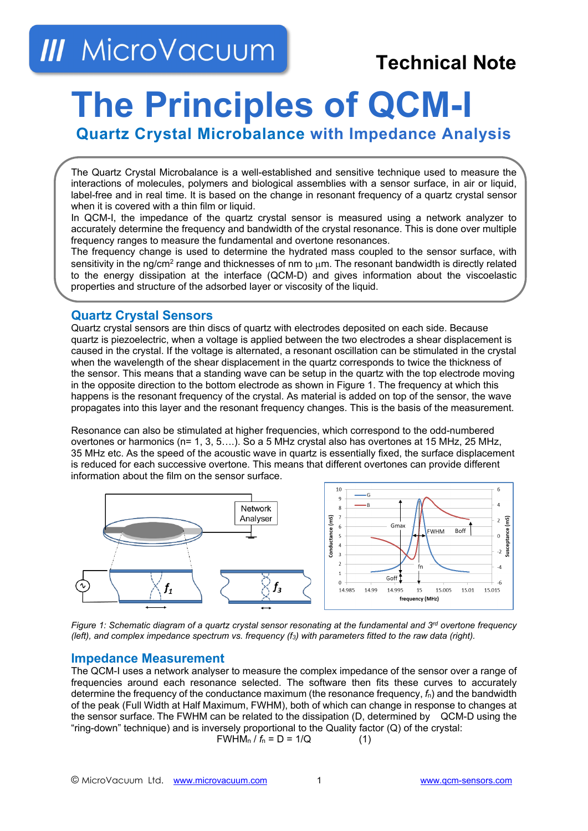## **III** MicroVacuum

### **Technical Note**

# **The Principles of QCM-I**

**Quartz Crystal Microbalance with Impedance Analysis**

The Quartz Crystal Microbalance is a well-established and sensitive technique used to measure the interactions of molecules, polymers and biological assemblies with a sensor surface, in air or liquid, label-free and in real time. It is based on the change in resonant frequency of a quartz crystal sensor when it is covered with a thin film or liquid.

In QCM-I, the impedance of the quartz crystal sensor is measured using a network analyzer to accurately determine the frequency and bandwidth of the crystal resonance. This is done over multiple frequency ranges to measure the fundamental and overtone resonances.

The frequency change is used to determine the hydrated mass coupled to the sensor surface, with sensitivity in the ng/cm<sup>2</sup> range and thicknesses of nm to  $\mu$ m. The resonant bandwidth is directly related to the energy dissipation at the interface (QCM-D) and gives information about the viscoelastic properties and structure of the adsorbed layer or viscosity of the liquid.

#### **Quartz Crystal Sensors**

Quartz crystal sensors are thin discs of quartz with electrodes deposited on each side. Because quartz is piezoelectric, when a voltage is applied between the two electrodes a shear displacement is caused in the crystal. If the voltage is alternated, a resonant oscillation can be stimulated in the crystal when the wavelength of the shear displacement in the quartz corresponds to twice the thickness of the sensor. This means that a standing wave can be setup in the quartz with the top electrode moving in the opposite direction to the bottom electrode as shown in Figure 1. The frequency at which this happens is the resonant frequency of the crystal. As material is added on top of the sensor, the wave propagates into this layer and the resonant frequency changes. This is the basis of the measurement.

Resonance can also be stimulated at higher frequencies, which correspond to the odd-numbered overtones or harmonics (n= 1, 3, 5….). So a 5 MHz crystal also has overtones at 15 MHz, 25 MHz, 35 MHz etc. As the speed of the acoustic wave in quartz is essentially fixed, the surface displacement is reduced for each successive overtone. This means that different overtones can provide different information about the film on the sensor surface.



*Figure 1: Schematic diagram of a quartz crystal sensor resonating at the fundamental and 3<sup>rd</sup> overtone frequency (left), and complex impedance spectrum vs. frequency (f3) with parameters fitted to the raw data (right).*

#### **Impedance Measurement**

The QCM-I uses a network analyser to measure the complex impedance of the sensor over a range of frequencies around each resonance selected. The software then fits these curves to accurately determine the frequency of the conductance maximum (the resonance frequency, *f*n) and the bandwidth of the peak (Full Width at Half Maximum, FWHM), both of which can change in response to changes at the sensor surface. The FWHM can be related to the dissipation (D, determined by QCM-D using the "ring-down" technique) and is inversely proportional to the Quality factor (Q) of the crystal:

$$
FWHM_n / f_n = D = 1/Q
$$
 (1)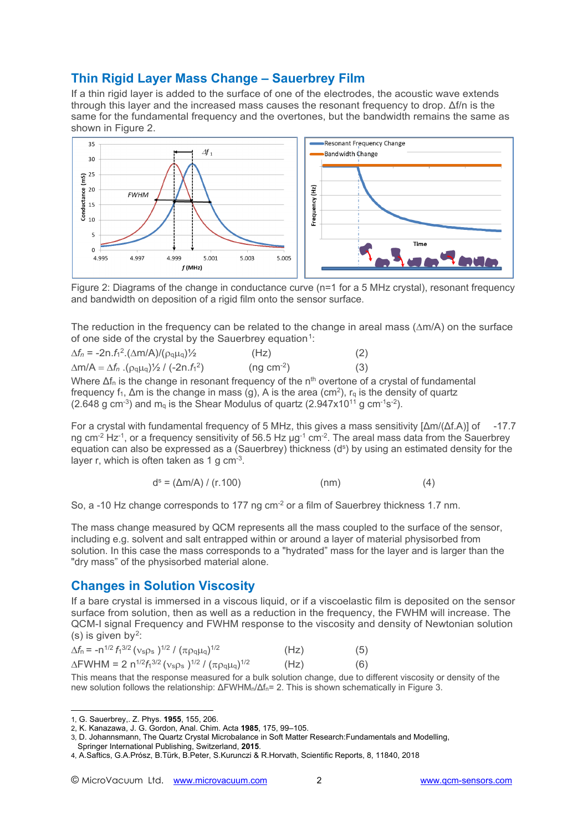#### **Thin Rigid Layer Mass Change – Sauerbrey Film**

If a thin rigid layer is added to the surface of one of the electrodes, the acoustic wave extends through this layer and the increased mass causes the resonant frequency to drop. Δf/n is the same for the fundamental frequency and the overtones, but the bandwidth remains the same as shown in Figure 2.



Figure 2: Diagrams of the change in conductance curve (n=1 for a 5 MHz crystal), resonant frequency and bandwidth on deposition of a rigid film onto the sensor surface.

The reduction in the frequency can be related to the change in areal mass (∆m/A) on the surface of one side of the crystal by the Sauerbrey equation<sup>[1](#page-1-0)</sup>:

| $\Delta f_n = -2n.f_1^2.(\Delta m/A)/(\rho_q\mu_q)/2$                          | (Hz)        | (2) |
|--------------------------------------------------------------------------------|-------------|-----|
| $\Delta m/A = \Delta f_n$ . ( $\rho_q \mu_q$ ) $\frac{1}{2}$ / (-2n. $f_1^2$ ) | $(ng cm-2)$ | (3) |

Where  $\Delta f_n$  is the change in resonant frequency of the n<sup>th</sup> overtone of a crystal of fundamental frequency f<sub>1</sub>,  $\Delta$ m is the change in mass (g), A is the area (cm<sup>2</sup>), r<sub>q</sub> is the density of quartz  $(2.648 \text{ g cm}^{-3})$  and m<sub>q</sub> is the Shear Modulus of quartz  $(2.947 \times 10^{11} \text{ g cm}^{-1} \text{s}^{-2})$ .

For a crystal with fundamental frequency of 5 MHz, this gives a mass sensitivity [Δm/(Δf.A)] of -17.7 ng cm<sup>-2</sup> Hz<sup>-1</sup>, or a frequency sensitivity of 56.5 Hz  $\mu$ g<sup>-1</sup> cm<sup>-2</sup>. The areal mass data from the Sauerbrey equation can also be expressed as a (Sauerbrey) thickness  $(d^s)$  by using an estimated density for the layer r, which is often taken as 1 g  $cm<sup>3</sup>$ .

$$
d^{s} = (\Delta m/A) / (r.100) \tag{4}
$$

So, a -10 Hz change corresponds to 177 ng cm<sup>-2</sup> or a film of Sauerbrey thickness 1.7 nm.

The mass change measured by QCM represents all the mass coupled to the surface of the sensor, including e.g. solvent and salt entrapped within or around a layer of material physisorbed from solution. In this case the mass corresponds to a "hydrated" mass for the layer and is larger than the "dry mass" of the physisorbed material alone.

#### **Changes in Solution Viscosity**

If a bare crystal is immersed in a viscous liquid, or if a viscoelastic film is deposited on the sensor surface from solution, then as well as a reduction in the frequency, the FWHM will increase. The QCM-I signal Frequency and FWHM response to the viscosity and density of Newtonian solution (s) is given by<sup>[2](#page-1-1)</sup>:

| $\Delta f_n = -n^{1/2} f_1^{3/2} (v_s \rho_s)^{1/2} / (\pi \rho_q \mu_q)^{1/2}$                                                                   | (Hz) | (5) |
|---------------------------------------------------------------------------------------------------------------------------------------------------|------|-----|
| $\Delta$ FWHM = 2 n <sup>1/2</sup> <i>f</i> <sub>1</sub> <sup>3/2</sup> ( $v_s$ $\rho_s$ ) <sup>1/2</sup> / ( $\pi \rho_q \mu_q$ ) <sup>1/2</sup> | (Hz) | (6) |

This means that the response measured for a bulk solution change, due to different viscosity or density of the new solution follows the relationship: ΔFWHMn/Δfn= 2. This is shown schematically in Figure 3.

<span id="page-1-0"></span><sup>1,</sup> G. Sauerbrey,. Z. Phys. **1955**, 155, 206.

<span id="page-1-1"></span><sup>2,</sup> K. Kanazawa, J. G. Gordon, Anal. Chim. Acta **1985**, 175, 99–105.

<sup>3,</sup> D. Johannsmann, The Quartz Crystal Microbalance in Soft Matter Research:Fundamentals and Modelling,

Springer International Publishing, Switzerland, **2015**.

<sup>4,</sup> A.Saftics, G.A.Prósz, B.Türk, B.Peter, S.Kurunczi & R.Horvath, Scientific Reports, 8, 11840, 2018